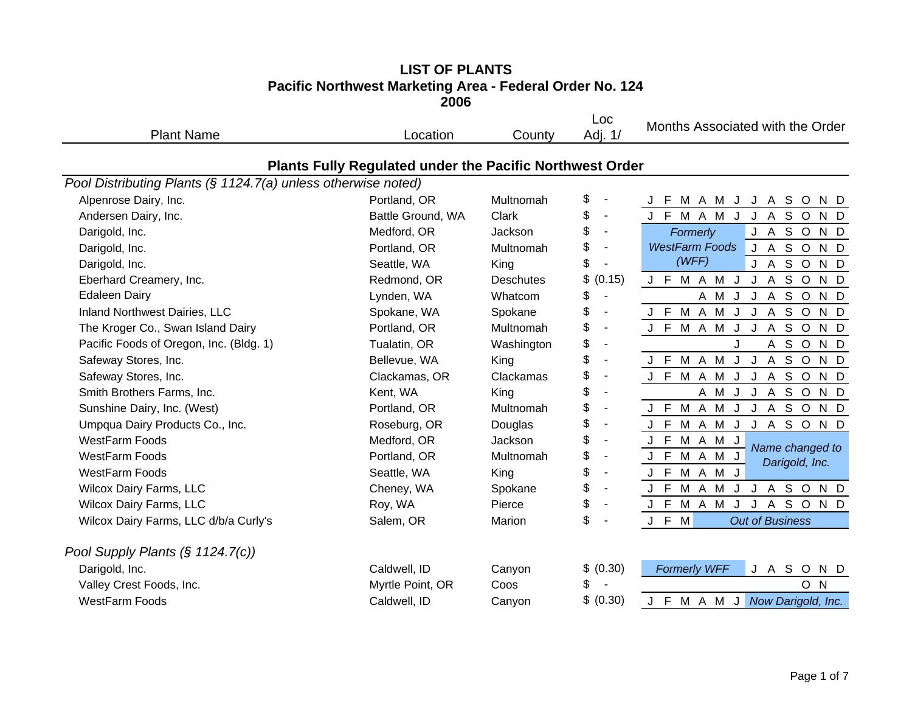| <b>Plant Name</b>                                             | Location                                                 | County           | Loc<br>Adj. 1/                 | Months Associated with the Order                    |
|---------------------------------------------------------------|----------------------------------------------------------|------------------|--------------------------------|-----------------------------------------------------|
|                                                               | Plants Fully Regulated under the Pacific Northwest Order |                  |                                |                                                     |
| Pool Distributing Plants (§ 1124.7(a) unless otherwise noted) |                                                          |                  |                                |                                                     |
| Alpenrose Dairy, Inc.                                         | Portland, OR                                             | Multnomah        | \$                             | J F M A M J J A S O<br>N D                          |
| Andersen Dairy, Inc.                                          | Battle Ground, WA                                        | Clark            | \$<br>$\overline{\phantom{a}}$ | J F M A M J J A S O<br>N D                          |
| Darigold, Inc.                                                | Medford, OR                                              | Jackson          | \$<br>$\blacksquare$           | J A S O N D<br>Formerly                             |
| Darigold, Inc.                                                | Portland, OR                                             | Multnomah        | \$                             | <b>WestFarm Foods</b><br>J A S O<br>N D             |
| Darigold, Inc.                                                | Seattle, WA                                              | King             | \$                             | (WFF)<br><b>JASOND</b>                              |
| Eberhard Creamery, Inc.                                       | Redmond, OR                                              | <b>Deschutes</b> | \$<br>(0.15)                   | J F M A M J J A S O<br>N D                          |
| <b>Edaleen Dairy</b>                                          | Lynden, WA                                               | Whatcom          | \$<br>$\overline{\phantom{a}}$ | A M J J A S O N D                                   |
| Inland Northwest Dairies, LLC                                 | Spokane, WA                                              | Spokane          | \$<br>$\blacksquare$           | J F M A M J J A S O N D                             |
| The Kroger Co., Swan Island Dairy                             | Portland, OR                                             | Multnomah        | \$<br>$\overline{\phantom{a}}$ | J F M A M J J A S O N D                             |
| Pacific Foods of Oregon, Inc. (Bldg. 1)                       | Tualatin, OR                                             | Washington       | \$                             | A S O N D                                           |
| Safeway Stores, Inc.                                          | Bellevue, WA                                             | King             | \$                             | J F M A M<br>$\overline{A}$<br>S O<br>J J<br>N D    |
| Safeway Stores, Inc.                                          | Clackamas, OR                                            | Clackamas        | \$                             | J F M A M J J A S O<br>N D                          |
| Smith Brothers Farms, Inc.                                    | Kent, WA                                                 | King             | \$                             | A M J J A S O N D                                   |
| Sunshine Dairy, Inc. (West)                                   | Portland, OR                                             | Multnomah        | \$                             | M A M J J A S O N D<br>J F                          |
| Umpqua Dairy Products Co., Inc.                               | Roseburg, OR                                             | Douglas          | \$                             | J F M A M J<br>J A S O N D                          |
| <b>WestFarm Foods</b>                                         | Medford, OR                                              | Jackson          | \$                             | J F<br>M A M J                                      |
| <b>WestFarm Foods</b>                                         | Portland, OR                                             | Multnomah        | \$                             | Name changed to<br>M A M J<br>J F<br>Darigold, Inc. |
| <b>WestFarm Foods</b>                                         | Seattle, WA                                              | King             | \$                             | J F M A M<br>J                                      |
| <b>Wilcox Dairy Farms, LLC</b>                                | Cheney, WA                                               | Spokane          | \$                             | J F M A M J J A S O N D                             |
| <b>Wilcox Dairy Farms, LLC</b>                                | Roy, WA                                                  | Pierce           | \$                             | M A M J J A S O N D<br>J F                          |
| Wilcox Dairy Farms, LLC d/b/a Curly's                         | Salem, OR                                                | Marion           | \$<br>$\blacksquare$           | J F<br>M<br><b>Out of Business</b>                  |
| Pool Supply Plants $(\S 1124.7(c))$                           |                                                          |                  |                                |                                                     |
| Darigold, Inc.                                                | Caldwell, ID                                             | Canyon           | \$ (0.30)                      | <b>Formerly WFF</b><br>J A S O<br>N D               |
| Valley Crest Foods, Inc.                                      | Myrtle Point, OR                                         | Coos             | \$                             | O N                                                 |
| <b>WestFarm Foods</b>                                         | Caldwell, ID                                             | Canyon           | \$<br>(0.30)                   | J F M A M J<br>Now Darigold, Inc.                   |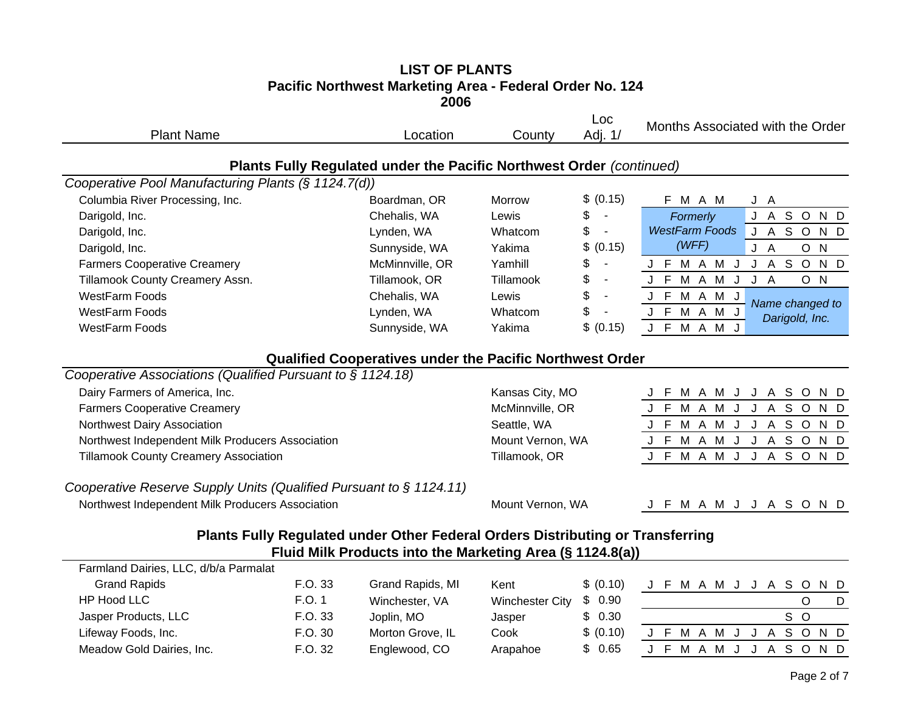| <b>Plant Name</b>                                                  |         | Location                                                                                                                                    | County                 | Loc<br>Adj. 1/                 | Months Associated with the Order                   |
|--------------------------------------------------------------------|---------|---------------------------------------------------------------------------------------------------------------------------------------------|------------------------|--------------------------------|----------------------------------------------------|
|                                                                    |         | Plants Fully Regulated under the Pacific Northwest Order (continued)                                                                        |                        |                                |                                                    |
| Cooperative Pool Manufacturing Plants (§ 1124.7(d))                |         |                                                                                                                                             |                        |                                |                                                    |
| Columbia River Processing, Inc.                                    |         | Boardman, OR                                                                                                                                | <b>Morrow</b>          | \$ (0.15)                      | F M A M<br>J A                                     |
| Darigold, Inc.                                                     |         | Chehalis, WA                                                                                                                                | Lewis                  | \$<br>$\sim$                   | J A S O N D<br>Formerly                            |
| Darigold, Inc.                                                     |         | Lynden, WA                                                                                                                                  | Whatcom                | \$<br>$\sim$                   | <b>WestFarm Foods</b><br>J A S O<br>N <sub>D</sub> |
| Darigold, Inc.                                                     |         | Sunnyside, WA                                                                                                                               | Yakima                 | \$ (0.15)                      | (WFF)<br>O N<br>J A                                |
| <b>Farmers Cooperative Creamery</b>                                |         | McMinnville, OR                                                                                                                             | Yamhill                | \$                             | J A S O<br>J F M A M J<br>N D                      |
| Tillamook County Creamery Assn.                                    |         | Tillamook, OR                                                                                                                               | Tillamook              | \$<br>$\blacksquare$           | J F M A M<br>O N<br>J<br>J A                       |
| WestFarm Foods                                                     |         | Chehalis, WA                                                                                                                                | Lewis                  | \$                             | J F M A M J                                        |
| WestFarm Foods                                                     |         | Lynden, WA                                                                                                                                  | Whatcom                | \$<br>$\overline{\phantom{a}}$ | Name changed to<br>J F M A M J<br>Darigold, Inc.   |
| <b>WestFarm Foods</b>                                              |         | Sunnyside, WA                                                                                                                               | Yakima                 | \$ (0.15)                      | J F M A M J                                        |
|                                                                    |         | <b>Qualified Cooperatives under the Pacific Northwest Order</b>                                                                             |                        |                                |                                                    |
| Cooperative Associations (Qualified Pursuant to § 1124.18)         |         |                                                                                                                                             |                        |                                |                                                    |
| Dairy Farmers of America, Inc.                                     |         |                                                                                                                                             | Kansas City, MO        |                                | J F M A M J J A S O N D                            |
| <b>Farmers Cooperative Creamery</b>                                |         |                                                                                                                                             | McMinnville, OR        |                                | J F M A M<br>$\mathsf J$<br>J A S O<br>N D         |
| Northwest Dairy Association                                        |         |                                                                                                                                             | Seattle, WA            |                                | J F M A M J J A S O<br>N D                         |
| Northwest Independent Milk Producers Association                   |         |                                                                                                                                             | Mount Vernon, WA       |                                | J F M A M J J A S O N D                            |
| <b>Tillamook County Creamery Association</b>                       |         |                                                                                                                                             | Tillamook, OR          |                                | J F M A M J<br>J<br>A S O N D                      |
| Cooperative Reserve Supply Units (Qualified Pursuant to § 1124.11) |         |                                                                                                                                             |                        |                                |                                                    |
| Northwest Independent Milk Producers Association                   |         |                                                                                                                                             | Mount Vernon, WA       |                                | J F M A M J J A S O N D                            |
|                                                                    |         | Plants Fully Regulated under Other Federal Orders Distributing or Transferring<br>Fluid Milk Products into the Marketing Area (§ 1124.8(a)) |                        |                                |                                                    |
| Farmland Dairies, LLC, d/b/a Parmalat                              |         |                                                                                                                                             |                        |                                |                                                    |
| <b>Grand Rapids</b>                                                | F.O. 33 | Grand Rapids, MI                                                                                                                            | Kent                   | \$ (0.10)                      | J F M A M J J A S O<br>N D                         |
| <b>HP Hood LLC</b>                                                 | F.O. 1  | Winchester, VA                                                                                                                              | <b>Winchester City</b> | \$0.90                         | $\circ$<br>D                                       |
| Jasper Products, LLC                                               | F.O. 33 | Joplin, MO                                                                                                                                  | Jasper                 | \$0.30                         | S O                                                |
| Lifeway Foods, Inc.                                                | F.O. 30 | Morton Grove, IL                                                                                                                            | Cook                   | \$ (0.10)                      | J F M A M J J A S O N D                            |
| Meadow Gold Dairies, Inc.                                          | F.O. 32 | Englewood, CO                                                                                                                               | Arapahoe               | \$<br>0.65                     | S O<br>J F M A M J<br>J A<br>N D                   |
|                                                                    |         |                                                                                                                                             |                        |                                |                                                    |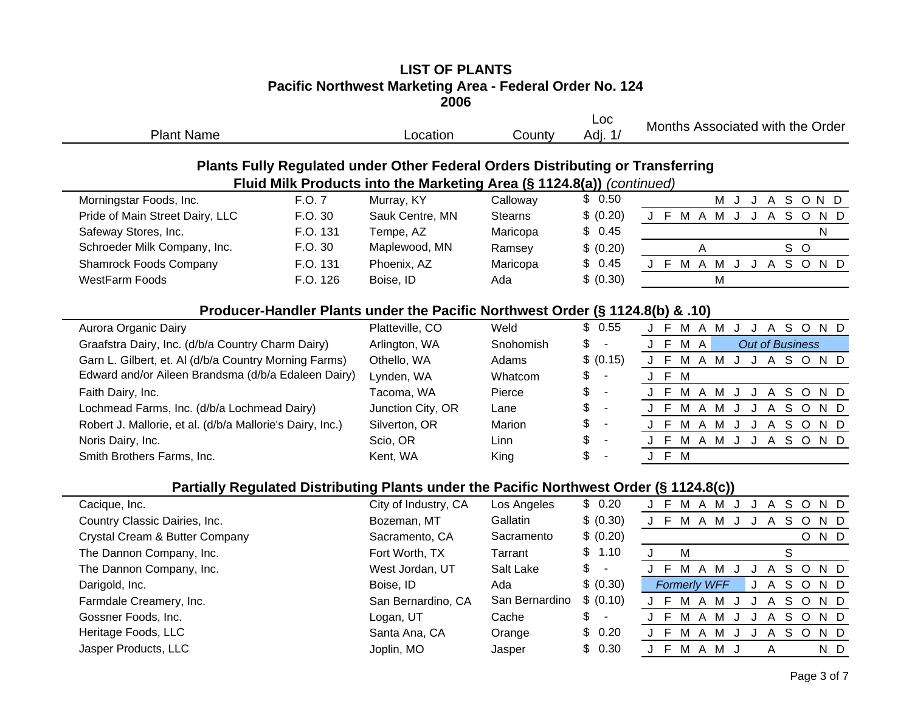| <b>Plant Name</b>                                         |          | Location                                                                                                                                                | County         | Loc<br>Adj. 1/                 | Months Associated with the Order                           |
|-----------------------------------------------------------|----------|---------------------------------------------------------------------------------------------------------------------------------------------------------|----------------|--------------------------------|------------------------------------------------------------|
|                                                           |          | Plants Fully Regulated under Other Federal Orders Distributing or Transferring<br>Fluid Milk Products into the Marketing Area (§ 1124.8(a)) (continued) |                |                                |                                                            |
| Morningstar Foods, Inc.                                   | F.O. 7   | Murray, KY                                                                                                                                              | Calloway       | \$0.50                         | J A S O N D<br>M<br>J                                      |
| Pride of Main Street Dairy, LLC                           | F.O. 30  | Sauk Centre, MN                                                                                                                                         | <b>Stearns</b> | \$ (0.20)                      | J F M A M J<br>J A S O<br>N D                              |
| Safeway Stores, Inc.                                      | F.O. 131 | Tempe, AZ                                                                                                                                               | Maricopa       | \$<br>0.45                     | ${\sf N}$                                                  |
| Schroeder Milk Company, Inc.                              | F.O. 30  | Maplewood, MN                                                                                                                                           | Ramsey         | \$ (0.20)                      | S O<br>A                                                   |
| <b>Shamrock Foods Company</b>                             | F.O. 131 | Phoenix, AZ                                                                                                                                             | Maricopa       | \$<br>0.45                     | J F<br>M A M<br>J A<br>SOND<br>$\mathsf{J}$                |
| <b>WestFarm Foods</b>                                     | F.O. 126 | Boise, ID                                                                                                                                               | Ada            | \$ (0.30)                      | M                                                          |
|                                                           |          | Producer-Handler Plants under the Pacific Northwest Order (§ 1124.8(b) & .10)                                                                           |                |                                |                                                            |
| Aurora Organic Dairy                                      |          | Platteville, CO                                                                                                                                         | Weld           | \$0.55                         | J F M A M J J A S O N D                                    |
| Graafstra Dairy, Inc. (d/b/a Country Charm Dairy)         |          | Arlington, WA                                                                                                                                           | Snohomish      | \$<br>$\blacksquare$           | $J$ F<br>M A<br><b>Out of Business</b>                     |
| Garn L. Gilbert, et. Al (d/b/a Country Morning Farms)     |          | Othello, WA                                                                                                                                             | Adams          | \$<br>(0.15)                   | J F<br>M A M J J A S O N D                                 |
| Edward and/or Aileen Brandsma (d/b/a Edaleen Dairy)       |          | Lynden, WA                                                                                                                                              | Whatcom        | \$                             | J F<br>M                                                   |
| Faith Dairy, Inc.                                         |          | Tacoma, WA                                                                                                                                              | Pierce         | \$                             | J F<br>M A M<br>A S O<br>$\mathsf{J}$<br>N D<br>J          |
| Lochmead Farms, Inc. (d/b/a Lochmead Dairy)               |          | Junction City, OR                                                                                                                                       | Lane           | \$                             | J A S O N D<br>J F<br>M A M<br>$\mathsf{J}$                |
| Robert J. Mallorie, et al. (d/b/a Mallorie's Dairy, Inc.) |          | Silverton, OR                                                                                                                                           | Marion         | \$                             | J F<br>M A M J<br>J A S O N D                              |
| Noris Dairy, Inc.                                         |          | Scio, OR                                                                                                                                                | Linn           | \$                             | M A M J J A S O N D<br>J F                                 |
| Smith Brothers Farms, Inc.                                |          | Kent, WA                                                                                                                                                | King           | \$                             | J F M                                                      |
|                                                           |          | Partially Regulated Distributing Plants under the Pacific Northwest Order (§ 1124.8(c))                                                                 |                |                                |                                                            |
| Cacique, Inc.                                             |          | City of Industry, CA                                                                                                                                    | Los Angeles    | \$0.20                         | J F M A M J J A S O N D                                    |
| Country Classic Dairies, Inc.                             |          | Bozeman, MT                                                                                                                                             | Gallatin       | \$ (0.30)                      | J F M A M J J A S O N D                                    |
| Crystal Cream & Butter Company                            |          | Sacramento, CA                                                                                                                                          | Sacramento     | \$ (0.20)                      | O N D                                                      |
| The Dannon Company, Inc.                                  |          | Fort Worth, TX                                                                                                                                          | Tarrant        | \$<br>1.10                     | $\mathsf{S}$<br>$\mathbf{J}$<br>M                          |
| The Dannon Company, Inc.                                  |          | West Jordan, UT                                                                                                                                         | Salt Lake      | \$<br>$\blacksquare$           | J F<br>$\mathsf{S}$<br>M A M<br>J A<br>J<br>$\circ$<br>N D |
| Darigold, Inc.                                            |          | Boise, ID                                                                                                                                               | Ada            | \$ (0.30)                      | S O<br><b>Formerly WFF</b><br>$\overline{A}$<br>N D<br>J   |
| Farmdale Creamery, Inc.                                   |          | San Bernardino, CA                                                                                                                                      | San Bernardino | \$ (0.10)                      | S O<br>M A M J<br>J F<br>J A<br>N D                        |
| Gossner Foods, Inc.                                       |          | Logan, UT                                                                                                                                               | Cache          | \$<br>$\overline{\phantom{a}}$ | J A S O N D<br>J F M A M J                                 |
| Heritage Foods, LLC                                       |          | Santa Ana, CA                                                                                                                                           | Orange         | \$<br>0.20                     | J F<br>M A M<br>S O<br>N D<br>J<br>J<br>$\mathsf{A}$       |
| Jasper Products, LLC                                      |          | Joplin, MO                                                                                                                                              | Jasper         | 0.30<br>\$                     | J F M A M J<br>N D<br>A                                    |
|                                                           |          |                                                                                                                                                         |                |                                |                                                            |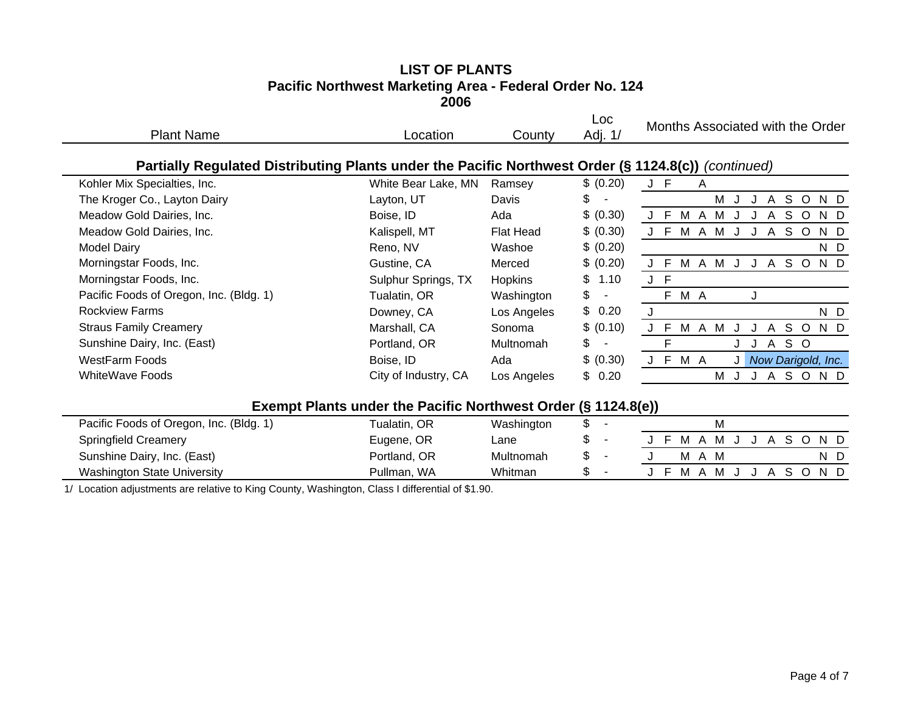| <b>Plant Name</b>                                                                                   | Location                                                      | County         | Loc<br>Adj. 1/ | Months Associated with the Order                       |
|-----------------------------------------------------------------------------------------------------|---------------------------------------------------------------|----------------|----------------|--------------------------------------------------------|
| Partially Regulated Distributing Plants under the Pacific Northwest Order (§ 1124.8(c)) (continued) |                                                               |                |                |                                                        |
| Kohler Mix Specialties, Inc.                                                                        | White Bear Lake, MN                                           | Ramsey         | \$ (0.20)      | J F<br>A                                               |
| The Kroger Co., Layton Dairy                                                                        | Layton, UT                                                    | Davis          | \$             | M<br>S.<br>$\circ$<br>N D<br>A<br>J                    |
| Meadow Gold Dairies, Inc.                                                                           | Boise, ID                                                     | Ada            | \$ (0.30)      | S<br>M<br>$\circ$<br>N D<br>- F<br>M<br>Α<br>A         |
| Meadow Gold Dairies, Inc.                                                                           | Kalispell, MT                                                 | Flat Head      | \$ (0.30)      | S.<br>M<br>$\circ$<br>N D<br>м<br>A<br>A               |
| <b>Model Dairy</b>                                                                                  | Reno, NV                                                      | Washoe         | \$ (0.20)      | N D                                                    |
| Morningstar Foods, Inc.                                                                             | Gustine, CA                                                   | Merced         | \$ (0.20)      | A M<br>S O<br>-F<br>M<br>N D<br>$\mathsf{A}$<br>J<br>J |
| Morningstar Foods, Inc.                                                                             | Sulphur Springs, TX                                           | <b>Hopkins</b> | \$<br>1.10     | J F                                                    |
| Pacific Foods of Oregon, Inc. (Bldg. 1)                                                             | Tualatin, OR                                                  | Washington     | \$             | F M A<br>J                                             |
| <b>Rockview Farms</b>                                                                               | Downey, CA                                                    | Los Angeles    | \$0.20         | N D                                                    |
| <b>Straus Family Creamery</b>                                                                       | Marshall, CA                                                  | Sonoma         | \$ (0.10)      | J F<br>M A M<br>N D<br>S O<br>A<br>J                   |
| Sunshine Dairy, Inc. (East)                                                                         | Portland, OR                                                  | Multnomah      | \$             | S O<br>A<br>J                                          |
| <b>WestFarm Foods</b>                                                                               | Boise, ID                                                     | Ada            | \$ (0.30)      | J F M A<br>Now Darigold, Inc.<br>JI                    |
| <b>WhiteWave Foods</b>                                                                              | City of Industry, CA                                          | Los Angeles    | \$0.20         | S O<br>N D<br>M<br>$\mathsf{A}$<br>J.<br>J             |
|                                                                                                     | Exempt Plants under the Pacific Northwest Order (§ 1124.8(e)) |                |                |                                                        |
| Dopitio Essaio of Orogon, Ing. (DIda, 1)                                                            | $T_{\text{total}}$                                            | $M = -1$       |                | <b>A</b>                                               |

| Pacific Foods of Oregon, Inc. (Bldg. 1) | <b>Fualatin, OR</b> | Washington |    |  |     |     |  |  |             |     |  |
|-----------------------------------------|---------------------|------------|----|--|-----|-----|--|--|-------------|-----|--|
| <b>Springfield Creamery</b>             | Eugene, OR          | ∟ane       | Jэ |  | MA  | MJ. |  |  | J A S O N D |     |  |
| Sunshine Dairy, Inc. (East)             | Portland, OR        | Multnomah  |    |  | MA. |     |  |  |             | ND. |  |
| <b>Washington State University</b>      | Pullman, WA         | Whitman    |    |  | MA. | MJ  |  |  | ASOND       |     |  |

1/ Location adjustments are relative to King County, Washington, Class I differential of \$1.90.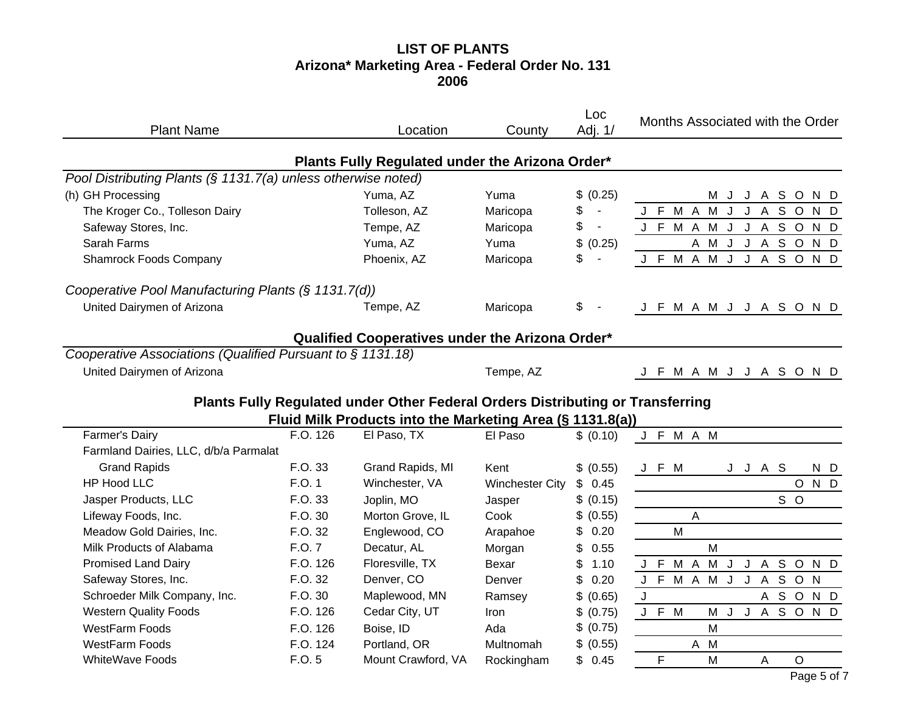# **LIST OF PLANTS Arizona\* Marketing Area - Federal Order No. 131 2006**

| <b>Plant Name</b>                                             |                                                           | Location                                                                       | County                 | Loc<br>Adj. 1/       | Months Associated with the Order                                     |
|---------------------------------------------------------------|-----------------------------------------------------------|--------------------------------------------------------------------------------|------------------------|----------------------|----------------------------------------------------------------------|
|                                                               |                                                           | Plants Fully Regulated under the Arizona Order*                                |                        |                      |                                                                      |
| Pool Distributing Plants (§ 1131.7(a) unless otherwise noted) |                                                           |                                                                                |                        |                      |                                                                      |
| (h) GH Processing                                             |                                                           | Yuma, AZ                                                                       | Yuma                   | \$ (0.25)            | M J J A S O<br>N D                                                   |
| The Kroger Co., Tolleson Dairy                                |                                                           | Tolleson, AZ                                                                   | Maricopa               | \$<br>$\blacksquare$ | J F M A<br>M J<br>J<br>$\mathsf{A}$<br>$\mathsf S$<br>$\circ$<br>N D |
| Safeway Stores, Inc.                                          |                                                           | Tempe, AZ                                                                      | Maricopa               | \$<br>$\mathbf{u}$   | J F M A M J<br>J A S O<br>N D                                        |
| Sarah Farms                                                   |                                                           | Yuma, AZ                                                                       | Yuma                   | \$<br>(0.25)         | A M J<br>J A S O<br>N D                                              |
| <b>Shamrock Foods Company</b>                                 |                                                           | Phoenix, AZ                                                                    | Maricopa               | \$                   | J F M A M J J A S O N D                                              |
| Cooperative Pool Manufacturing Plants (§ 1131.7(d))           |                                                           |                                                                                |                        |                      |                                                                      |
| United Dairymen of Arizona                                    |                                                           | Tempe, AZ                                                                      | Maricopa               | \$                   | J F M A M J J A S O N D                                              |
|                                                               |                                                           | Qualified Cooperatives under the Arizona Order*                                |                        |                      |                                                                      |
| Cooperative Associations (Qualified Pursuant to § 1131.18)    |                                                           |                                                                                |                        |                      |                                                                      |
| United Dairymen of Arizona                                    |                                                           |                                                                                | Tempe, AZ              |                      | J F M A M J J A S O N D                                              |
|                                                               |                                                           | Plants Fully Regulated under Other Federal Orders Distributing or Transferring |                        |                      |                                                                      |
|                                                               | Fluid Milk Products into the Marketing Area (§ 1131.8(a)) |                                                                                |                        |                      |                                                                      |
| <b>Farmer's Dairy</b>                                         |                                                           |                                                                                |                        |                      |                                                                      |
|                                                               | F.O. 126                                                  | El Paso, TX                                                                    | El Paso                | \$ (0.10)            | J F M A M                                                            |
| Farmland Dairies, LLC, d/b/a Parmalat                         |                                                           |                                                                                |                        |                      |                                                                      |
| <b>Grand Rapids</b>                                           | F.O. 33                                                   | Grand Rapids, MI                                                               | Kent                   | \$ (0.55)            | J F M<br>J J A S<br>N D                                              |
| <b>HP Hood LLC</b>                                            | F.O. 1                                                    | Winchester, VA                                                                 | <b>Winchester City</b> | 0.45<br>\$           | N D<br>$\circ$                                                       |
| Jasper Products, LLC                                          | F.O. 33                                                   | Joplin, MO                                                                     | Jasper                 | \$ (0.15)            | S O                                                                  |
| Lifeway Foods, Inc.                                           | F.O. 30                                                   | Morton Grove, IL                                                               | Cook                   | \$ (0.55)            | A                                                                    |
| Meadow Gold Dairies, Inc.                                     | F.O. 32                                                   | Englewood, CO                                                                  | Arapahoe               | \$<br>0.20           | M                                                                    |
| Milk Products of Alabama                                      | F.O. 7                                                    | Decatur, AL                                                                    | Morgan                 | \$<br>0.55           | M                                                                    |
| <b>Promised Land Dairy</b>                                    | F.O. 126                                                  | Floresville, TX                                                                | Bexar                  | \$<br>1.10           | J F M A M J<br>J A S O<br>N D                                        |
| Safeway Stores, Inc.                                          | F.O. 32                                                   | Denver, CO                                                                     | Denver                 | \$<br>0.20           | F M A M J J A S O N<br>J                                             |
| Schroeder Milk Company, Inc.                                  | F.O. 30                                                   | Maplewood, MN                                                                  | Ramsey                 | \$ (0.65)            | J<br>A S O N D                                                       |
| <b>Western Quality Foods</b>                                  | F.O. 126                                                  | Cedar City, UT                                                                 | <b>Iron</b>            | \$ (0.75)            | J A S O N D<br>J F M<br>M J                                          |
| <b>WestFarm Foods</b>                                         | F.O. 126                                                  | Boise, ID                                                                      | Ada                    | \$ (0.75)            | M                                                                    |
| <b>WestFarm Foods</b>                                         | F.O. 124                                                  | Portland, OR                                                                   | Multnomah              | \$ (0.55)            | A M                                                                  |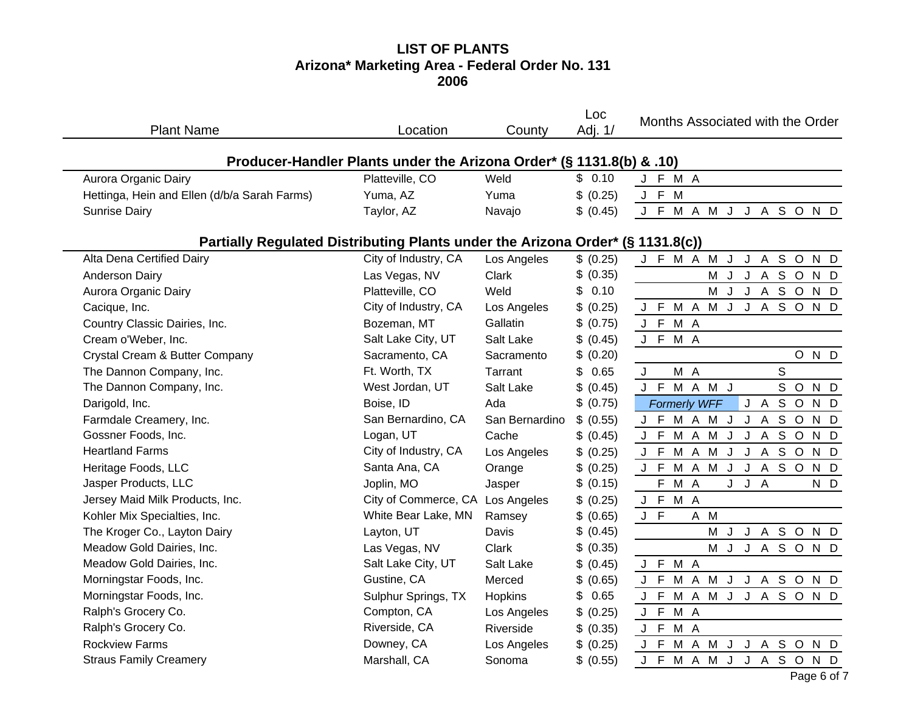# **LIST OF PLANTS Arizona\* Marketing Area - Federal Order No. 131 2006**

| <b>Plant Name</b>                                                              | Location                         | County         | Loc<br>Adj. 1/ | Months Associated with the Order               |
|--------------------------------------------------------------------------------|----------------------------------|----------------|----------------|------------------------------------------------|
| Producer-Handler Plants under the Arizona Order* (§ 1131.8(b) & .10)           |                                  |                |                |                                                |
| Aurora Organic Dairy                                                           | Platteville, CO                  | Weld           | \$0.10         | J F M A                                        |
| Hettinga, Hein and Ellen (d/b/a Sarah Farms)                                   | Yuma, AZ                         | Yuma           | \$ (0.25)      | J F M                                          |
| <b>Sunrise Dairy</b>                                                           | Taylor, AZ                       | Navajo         | \$ (0.45)      | J F M A M J J A S O N D                        |
| Partially Regulated Distributing Plants under the Arizona Order* (§ 1131.8(c)) |                                  |                |                |                                                |
| Alta Dena Certified Dairy                                                      | City of Industry, CA             | Los Angeles    | \$ (0.25)      | SOND<br>J F M A M<br>J<br>J A                  |
| Anderson Dairy                                                                 | Las Vegas, NV                    | Clark          | (0.35)<br>\$   | <b>M J J A S O N D</b>                         |
| Aurora Organic Dairy                                                           | Platteville, CO                  | Weld           | \$<br>0.10     | M<br>J<br>ASOND<br>J                           |
| Cacique, Inc.                                                                  | City of Industry, CA             | Los Angeles    | \$<br>(0.25)   | <b>MAMJJASOND</b><br>J F                       |
| Country Classic Dairies, Inc.                                                  | Bozeman, MT                      | Gallatin       | \$<br>(0.75)   | J F M A                                        |
| Cream o'Weber, Inc.                                                            | Salt Lake City, UT               | Salt Lake      | \$<br>(0.45)   | J F M A                                        |
| Crystal Cream & Butter Company                                                 | Sacramento, CA                   | Sacramento     | (0.20)<br>\$   | OND                                            |
| The Dannon Company, Inc.                                                       | Ft. Worth, TX                    | Tarrant        | \$<br>0.65     | S<br>M A<br>J                                  |
| The Dannon Company, Inc.                                                       | West Jordan, UT                  | Salt Lake      | \$ (0.45)      | J F M A M J<br>S O<br>N D                      |
| Darigold, Inc.                                                                 | Boise, ID                        | Ada            | (0.75)<br>\$   | J A<br><b>Formerly WFF</b><br>S O<br>N D       |
| Farmdale Creamery, Inc.                                                        | San Bernardino, CA               | San Bernardino | \$ (0.55)      | J F M A M J<br>J A S O<br>N D                  |
| Gossner Foods, Inc.                                                            | Logan, UT                        | Cache          | \$ (0.45)      | M A M J<br>J A S O<br>J F<br>N D               |
| <b>Heartland Farms</b>                                                         | City of Industry, CA             | Los Angeles    | \$ (0.25)      | M A M<br>J<br>J A S O<br>J F<br>N D            |
| Heritage Foods, LLC                                                            | Santa Ana, CA                    | Orange         | \$<br>(0.25)   | M A M<br>J F<br>$\mathsf{J}$<br>J A S O<br>N D |
| Jasper Products, LLC                                                           | Joplin, MO                       | Jasper         | \$<br>(0.15)   | F<br>M A<br>J J A<br>N D                       |
| Jersey Maid Milk Products, Inc.                                                | City of Commerce, CA Los Angeles |                | \$ (0.25)      | J F<br>M A                                     |
| Kohler Mix Specialties, Inc.                                                   | White Bear Lake, MN              | Ramsey         | \$ (0.65)      | J F<br>A M                                     |
| The Kroger Co., Layton Dairy                                                   | Layton, UT                       | Davis          | \$<br>(0.45)   | M<br>J A S O<br>$\mathsf{J}$<br>N D            |
| Meadow Gold Dairies, Inc.                                                      | Las Vegas, NV                    | Clark          | \$<br>(0.35)   | M<br>J<br><b>JASOND</b>                        |
| Meadow Gold Dairies, Inc.                                                      | Salt Lake City, UT               | Salt Lake      | \$ (0.45)      | J F M A                                        |
| Morningstar Foods, Inc.                                                        | Gustine, CA                      | Merced         | \$<br>(0.65)   | M A M J<br>J F<br>J A S O N D                  |
| Morningstar Foods, Inc.                                                        | Sulphur Springs, TX              | Hopkins        | \$<br>0.65     | J F M A M J J A S O N D                        |
| Ralph's Grocery Co.                                                            | Compton, CA                      | Los Angeles    | \$ (0.25)      | M A<br>J F                                     |
| Ralph's Grocery Co.                                                            | Riverside, CA                    | Riverside      | \$ (0.35)      | J F<br>M A                                     |
| <b>Rockview Farms</b>                                                          | Downey, CA                       | Los Angeles    | \$ (0.25)      | M A M J<br>J F<br>J A S O<br>N D               |
| <b>Straus Family Creamery</b>                                                  | Marshall, CA                     | Sonoma         | \$ (0.55)      | J F M A M J J A S O N D                        |